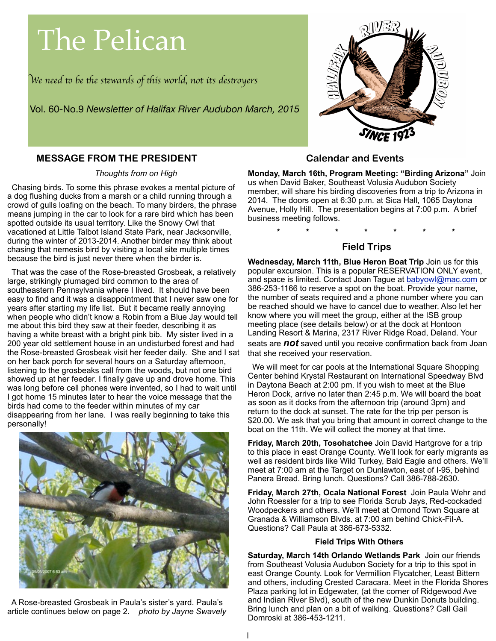# The Pelican

W*e need* " *be* #*e s*\$*wards of* #*is world, not its des*%*oyer*s

Vol. 60-No.9 *Newsletter of Halifax River Audubon March, 2015*



### **MESSAGE FROM THE PRESIDENT**

*Thoughts from on High*

 Chasing birds. To some this phrase evokes a mental picture of a dog flushing ducks from a marsh or a child running through a crowd of gulls loafing on the beach. To many birders, the phrase means jumping in the car to look for a rare bird which has been spotted outside its usual territory. Like the Snowy Owl that vacationed at Little Talbot Island State Park, near Jacksonville, during the winter of 2013-2014. Another birder may think about chasing that nemesis bird by visiting a local site multiple times because the bird is just never there when the birder is.

 That was the case of the Rose-breasted Grosbeak, a relatively large, strikingly plumaged bird common to the area of southeastern Pennsylvania where I lived. It should have been easy to find and it was a disappointment that I never saw one for years after starting my life list. But it became really annoying when people who didn't know a Robin from a Blue Jay would tell me about this bird they saw at their feeder, describing it as having a white breast with a bright pink bib. My sister lived in a 200 year old settlement house in an undisturbed forest and had the Rose-breasted Grosbeak visit her feeder daily. She and I sat on her back porch for several hours on a Saturday afternoon, listening to the grosbeaks call from the woods, but not one bird showed up at her feeder. I finally gave up and drove home. This was long before cell phones were invented, so I had to wait until I got home 15 minutes later to hear the voice message that the birds had come to the feeder within minutes of my car disappearing from her lane. I was really beginning to take this personally!



 A Rose-breasted Grosbeak in Paula's sister's yard. Paula's article continues below on page 2. *photo by Jayne Swavely*

#### **Calendar and Events**

**Monday, March 16th, Program Meeting: "Birding Arizona"** Join us when David Baker, Southeast Volusia Audubon Society member, will share his birding discoveries from a trip to Arizona in 2014. The doors open at 6:30 p.m. at Sica Hall, 1065 Daytona Avenue, Holly Hill. The presentation begins at 7:00 p.m. A brief business meeting follows.

**\* \* \* \* \* \* \***

## **Field Trips**

**Wednesday, March 11th, Blue Heron Boat Trip** Join us for this popular excursion. This is a popular RESERVATION ONLY event, and space is limited. Contact Joan Tague at [babyowl@mac.com](mailto:babyowl@mac.com) or 386-253-1166 to reserve a spot on the boat. Provide your name, the number of seats required and a phone number where you can be reached should we have to cancel due to weather. Also let her know where you will meet the group, either at the ISB group meeting place (see details below) or at the dock at Hontoon Landing Resort & Marina, 2317 River Ridge Road, Deland. Your seats are *not* saved until you receive confirmation back from Joan

that she received your reservation. We will meet for car pools at the International Square Shopping Center behind Krystal Restaurant on International Speedway Blvd in Daytona Beach at 2:00 pm. If you wish to meet at the Blue Heron Dock, arrive no later than 2:45 p.m. We will board the boat as soon as it docks from the afternoon trip (around 3pm) and

return to the dock at sunset. The rate for the trip per person is \$20.00. We ask that you bring that amount in correct change to the boat on the 11th. We will collect the money at that time.

**Friday, March 20th, Tosohatchee** Join David Hartgrove for a trip to this place in east Orange County. We'll look for early migrants as well as resident birds like Wild Turkey, Bald Eagle and others. We'll meet at 7:00 am at the Target on Dunlawton, east of I-95, behind Panera Bread. Bring lunch. Questions? Call 386-788-2630.

**Friday, March 27th, Ocala National Forest** Join Paula Wehr and John Roessler for a trip to see Florida Scrub Jays, Red-cockaded Woodpeckers and others. We'll meet at Ormond Town Square at Granada & Williamson Blvds. at 7:00 am behind Chick-Fil-A. Questions? Call Paula at 386-673-5332.

#### **Field Trips With Others**

**Saturday, March 14th Orlando Wetlands Park** Join our friends from Southeast Volusia Audubon Society for a trip to this spot in east Orange County. Look for Vermillion Flycatcher, Least Bittern and others, including Crested Caracara. Meet in the Florida Shores Plaza parking lot in Edgewater, (at the corner of Ridgewood Ave and Indian River Blvd), south of the new Dunkin Donuts building. Bring lunch and plan on a bit of walking. Questions? Call Gail Domroski at 386-453-1211.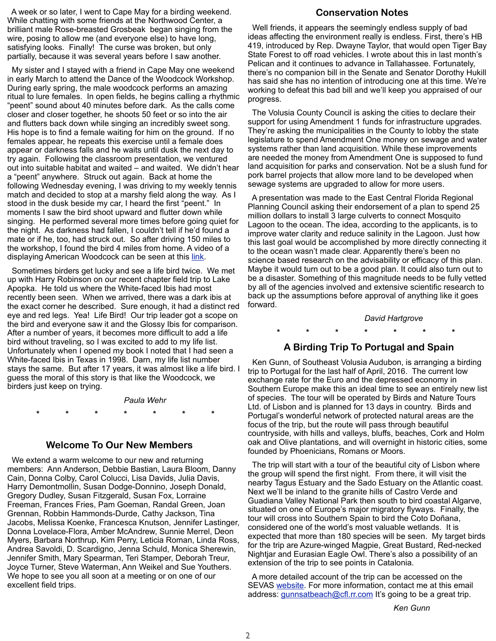A week or so later, I went to Cape May for a birding weekend. While chatting with some friends at the Northwood Center, a brilliant male Rose-breasted Grosbeak began singing from the wire, posing to allow me (and everyone else) to have long, satisfying looks. Finally! The curse was broken, but only partially, because it was several years before I saw another.

 My sister and I stayed with a friend in Cape May one weekend in early March to attend the Dance of the Woodcock Workshop. During early spring, the male woodcock performs an amazing ritual to lure females. In open fields, he begins calling a rhythmic "peent" sound about 40 minutes before dark. As the calls come closer and closer together, he shoots 50 feet or so into the air and flutters back down while singing an incredibly sweet song. His hope is to find a female waiting for him on the ground. If no females appear, he repeats this exercise until a female does appear or darkness falls and he waits until dusk the next day to try again. Following the classroom presentation, we ventured out into suitable habitat and waited – and waited. We didn't hear a "peent" anywhere. Struck out again. Back at home the following Wednesday evening, I was driving to my weekly tennis match and decided to stop at a marshy field along the way. As I stood in the dusk beside my car, I heard the first "peent." In moments I saw the bird shoot upward and flutter down while singing. He performed several more times before going quiet for the night. As darkness had fallen, I couldn't tell if he'd found a mate or if he, too, had struck out. So after driving 150 miles to the workshop, I found the bird 4 miles from home. A video of a displaying American Woodcock can be seen at this [link.](https://www.youtube.com/watch?v=4Owj52XhoxI)

 Sometimes birders get lucky and see a life bird twice. We met up with Harry Robinson on our recent chapter field trip to Lake Apopka. He told us where the White-faced Ibis had most recently been seen. When we arrived, there was a dark ibis at the exact corner he described. Sure enough, it had a distinct red eye and red legs. Yea! Life Bird! Our trip leader got a scope on the bird and everyone saw it and the Glossy Ibis for comparison. After a number of years, it becomes more difficult to add a life bird without traveling, so I was excited to add to my life list. Unfortunately when I opened my book I noted that I had seen a White-faced Ibis in Texas in 1998. Darn, my life list number stays the same. But after 17 years, it was almost like a life bird. I guess the moral of this story is that like the Woodcock, we birders just keep on trying.

#### *Paula Wehr*

**\* \* \* \* \* \* \***

#### **Welcome To Our New Members**

 We extend a warm welcome to our new and returning members: Ann Anderson, Debbie Bastian, Laura Bloom, Danny Cain, Donna Colby, Carol Colucci, Lisa Davids, Julia Davis, Harry Demontmollin, Susan Dodge-Donnino, Joseph Donald, Gregory Dudley, Susan Fitzgerald, Susan Fox, Lorraine Freeman, Frances Fries, Pam Goeman, Randal Green, Joan Grennan, Robbin Hammonds-Durde, Cathy Jackson, Tina Jacobs, Melissa Koenke, Francesca Knutson, Jennifer Lastinger, Donna Lovelace-Flora, Amber McAndrew, Sunnie Merrel, Deon Myers, Barbara Northrup, Kim Perry, Leticia Roman, Linda Ross, Andrea Savoldi, D. Scardigno, Jenna Schuld, Monica Sherewin, Jennifer Smith, Mary Spearman, Teri Stamper, Deborah Treur, Joyce Turner, Steve Waterman, Ann Weikel and Sue Youthers. We hope to see you all soon at a meeting or on one of our excellent field trips.

#### **Conservation Notes**

 Well friends, it appears the seemingly endless supply of bad ideas affecting the environment really is endless. First, there's HB 419, introduced by Rep. Dwayne Taylor, that would open Tiger Bay State Forest to off road vehicles. I wrote about this in last month's Pelican and it continues to advance in Tallahassee. Fortunately, there's no companion bill in the Senate and Senator Dorothy Hukill has said she has no intention of introducing one at this time. We're working to defeat this bad bill and we'll keep you appraised of our progress.

 The Volusia County Council is asking the cities to declare their support for using Amendment 1 funds for infrastructure upgrades. They're asking the municipalities in the County to lobby the state legislature to spend Amendment One money on sewage and water systems rather than land acquisition. While these improvements are needed the money from Amendment One is supposed to fund land acquisition for parks and conservation. Not be a slush fund for pork barrel projects that allow more land to be developed when sewage systems are upgraded to allow for more users.

 A presentation was made to the East Central Florida Regional Planning Council asking their endorsement of a plan to spend 25 million dollars to install 3 large culverts to connect Mosquito Lagoon to the ocean. The idea, according to the applicants, is to improve water clarity and reduce salinity in the Lagoon. Just how this last goal would be accomplished by more directly connecting it to the ocean wasn't made clear. Apparently there's been no science based research on the advisability or efficacy of this plan. Maybe it would turn out to be a good plan. It could also turn out to be a disaster. Something of this magnitude needs to be fully vetted by all of the agencies involved and extensive scientific research to back up the assumptions before approval of anything like it goes forward.

#### *David Hartgrove*

#### **\* \* \* \* \* \* \***

#### **A Birding Trip To Portugal and Spain**

 Ken Gunn, of Southeast Volusia Audubon, is arranging a birding trip to Portugal for the last half of April, 2016. The current low exchange rate for the Euro and the depressed economy in Southern Europe make this an ideal time to see an entirely new list of species. The tour will be operated by Birds and Nature Tours Ltd. of Lisbon and is planned for 13 days in country. Birds and Portugal's wonderful network of protected natural areas are the focus of the trip, but the route will pass through beautiful countryside, with hills and valleys, bluffs, beaches, Cork and Holm oak and Olive plantations, and will overnight in historic cities, some founded by Phoenicians, Romans or Moors.

 The trip will start with a tour of the beautiful city of Lisbon where the group will spend the first night. From there, it will visit the nearby Tagus Estuary and the Sado Estuary on the Atlantic coast. Next we'll be inland to the granite hills of Castro Verde and Guadiana Valley National Park then south to bird coastal Algarve, situated on one of Europe's major migratory flyways. Finally, the tour will cross into Southern Spain to bird the Coto Doñana, considered one of the world's most valuable wetlands. It is expected that more than 180 species will be seen. My target birds for the trip are Azure-winged Magpie, Great Bustard, Red-necked Nightjar and Eurasian Eagle Owl. There's also a possibility of an extension of the trip to see points in Catalonia.

 A more detailed account of the trip can be accessed on the SEVAS [website.](http://www.sevolusiaaudubon.org/eskimmer/feb2015_bird_portugal.html) For more information, contact me at this email address: [gunnsatbeach@cfl.rr.com](mailto:gunnsatbeach@cfl.rr.com) It's going to be a great trip.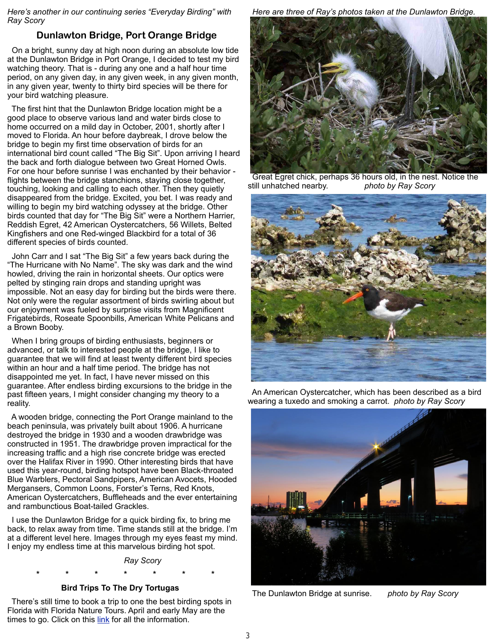*Here's another in our continuing series "Everyday Birding" with Ray Scory*

# **Dunlawton Bridge, Port Orange Bridge**

 On a bright, sunny day at high noon during an absolute low tide at the Dunlawton Bridge in Port Orange, I decided to test my bird watching theory. That is - during any one and a half hour time period, on any given day, in any given week, in any given month, in any given year, twenty to thirty bird species will be there for your bird watching pleasure.

 The first hint that the Dunlawton Bridge location might be a good place to observe various land and water birds close to home occurred on a mild day in October, 2001, shortly after I moved to Florida. An hour before daybreak, I drove below the bridge to begin my first time observation of birds for an international bird count called "The Big Sit". Upon arriving I heard the back and forth dialogue between two Great Horned Owls. For one hour before sunrise I was enchanted by their behavior flights between the bridge stanchions, staying close together, touching, looking and calling to each other. Then they quietly disappeared from the bridge. Excited, you bet. I was ready and willing to begin my bird watching odyssey at the bridge. Other birds counted that day for "The Big Sit" were a Northern Harrier, Reddish Egret, 42 American Oystercatchers, 56 Willets, Belted Kingfishers and one Red-winged Blackbird for a total of 36 different species of birds counted.

 John Carr and I sat "The Big Sit" a few years back during the "The Hurricane with No Name". The sky was dark and the wind howled, driving the rain in horizontal sheets. Our optics were pelted by stinging rain drops and standing upright was impossible. Not an easy day for birding but the birds were there. Not only were the regular assortment of birds swirling about but our enjoyment was fueled by surprise visits from Magnificent Frigatebirds, Roseate Spoonbills, American White Pelicans and a Brown Booby.

 When I bring groups of birding enthusiasts, beginners or advanced, or talk to interested people at the bridge, I like to guarantee that we will find at least twenty different bird species within an hour and a half time period. The bridge has not disappointed me yet. In fact, I have never missed on this guarantee. After endless birding excursions to the bridge in the past fifteen years, I might consider changing my theory to a reality.

 A wooden bridge, connecting the Port Orange mainland to the beach peninsula, was privately built about 1906. A hurricane destroyed the bridge in 1930 and a wooden drawbridge was constructed in 1951. The drawbridge proven impractical for the increasing traffic and a high rise concrete bridge was erected over the Halifax River in 1990. Other interesting birds that have used this year-round, birding hotspot have been Black-throated Blue Warblers, Pectoral Sandpipers, American Avocets, Hooded Mergansers, Common Loons, Forster's Terns, Red Knots, American Oystercatchers, Buffleheads and the ever entertaining and rambunctious Boat-tailed Grackles.

 I use the Dunlawton Bridge for a quick birding fix, to bring me back, to relax away from time. Time stands still at the bridge. I'm at a different level here. Images through my eyes feast my mind. I enjoy my endless time at this marvelous birding hot spot.



#### **Bird Trips To The Dry Tortugas**

**\* \* \* \* \* \* \***

 There's still time to book a trip to one the best birding spots in Florida with Florida Nature Tours. April and early May are the times to go. Click on this [link](http://floridanaturetours.net/) for all the information.

*Here are three of Ray's photos taken at the Dunlawton Bridge.*



 Great Egret chick, perhaps 36 hours old, in the nest. Notice the still unhatched nearby. *photo by Ray Scory*



 An American Oystercatcher, which has been described as a bird wearing a tuxedo and smoking a carrot. *photo by Ray Scory*



The Dunlawton Bridge at sunrise. *photo by Ray Scory*